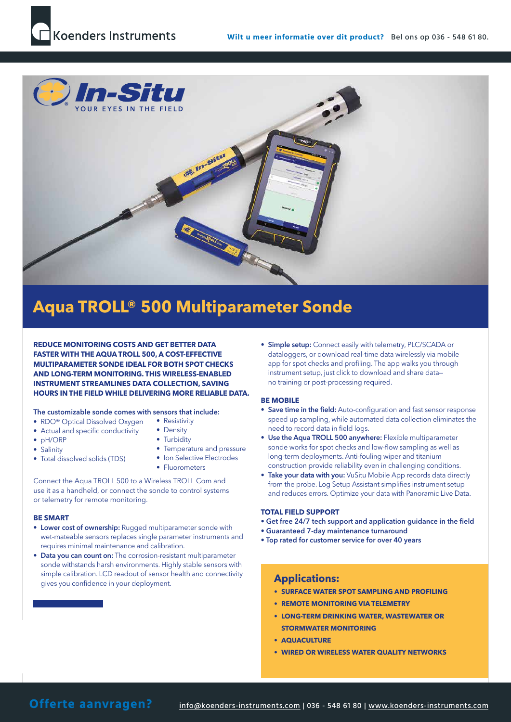

# **Aqua TROLL® 500 Multiparameter Sonde**

**REDUCE MONITORING COSTS AND GET BETTER DATA FASTER WITH THE AQUA TROLL 500, A COST-EFFECTIVE MULTIPARAMETER SONDE IDEAL FOR BOTH SPOT CHECKS AND LONG-TERM MONITORING. THIS WIRELESS-ENABLED INSTRUMENT STREAMLINES DATA COLLECTION, SAVING HOURS IN THE FIELD WHILE DELIVERING MORE RELIABLE DATA.**

#### The customizable sonde comes with sensors that include:

- RDO<sup>®</sup> Optical Dissolved Oxygen
- Actual and specific conductivity
- pH/ORP
- Salinity
- Total dissolved solids (TDS)
- Resistivity • Density
- Turbidity
- Temperature and pressure • Ion Selective Electrodes
- 
- Fluorometers

Connect the Aqua TROLL 500 to a Wireless TROLL Com and use it as a handheld, or connect the sonde to control systems or telemetry for remote monitoring.

#### **BE SMART**

- Lower cost of ownership: Rugged multiparameter sonde with wet-mateable sensors replaces single parameter instruments and requires minimal maintenance and calibration.
- Data you can count on: The corrosion-resistant multiparameter sonde withstands harsh environments. Highly stable sensors with simple calibration. LCD readout of sensor health and connectivity gives you confidence in your deployment.

• Simple setup: Connect easily with telemetry, PLC/SCADA or dataloggers, or download real-time data wirelessly via mobile app for spot checks and profiling. The app walks you through instrument setup, just click to download and share data no training or post-processing required.

#### **BE MOBILE**

- Save time in the field: Auto-configuration and fast sensor response speed up sampling, while automated data collection eliminates the need to record data in field logs.
- Use the Aqua TROLL 500 anywhere: Flexible multiparameter sonde works for spot checks and low-flow sampling as well as long-term deployments. Anti-fouling wiper and titanium construction provide reliability even in challenging conditions.
- Take your data with you: VuSitu Mobile App records data directly from the probe. Log Setup Assistant simplifies instrument setup and reduces errors. Optimize your data with Panoramic Live Data.

#### **TOTAL FIELD SUPPORT**

- Get free 24/7 tech support and application guidance in the field
- Guaranteed 7-day maintenance turnaround
- Top rated for customer service for over 40 years

### **Applications:**

- **• SURFACE WATER SPOT SAMPLING AND PROFILING**
- **• REMOTE MONITORING VIA TELEMETRY**
- **• LONG-TERM DRINKING WATER, WASTEWATER OR STORMWATER MONITORING**
- **• AQUACULTURE**
- **• WIRED OR WIRELESS WATER QUALITY NETWORKS**